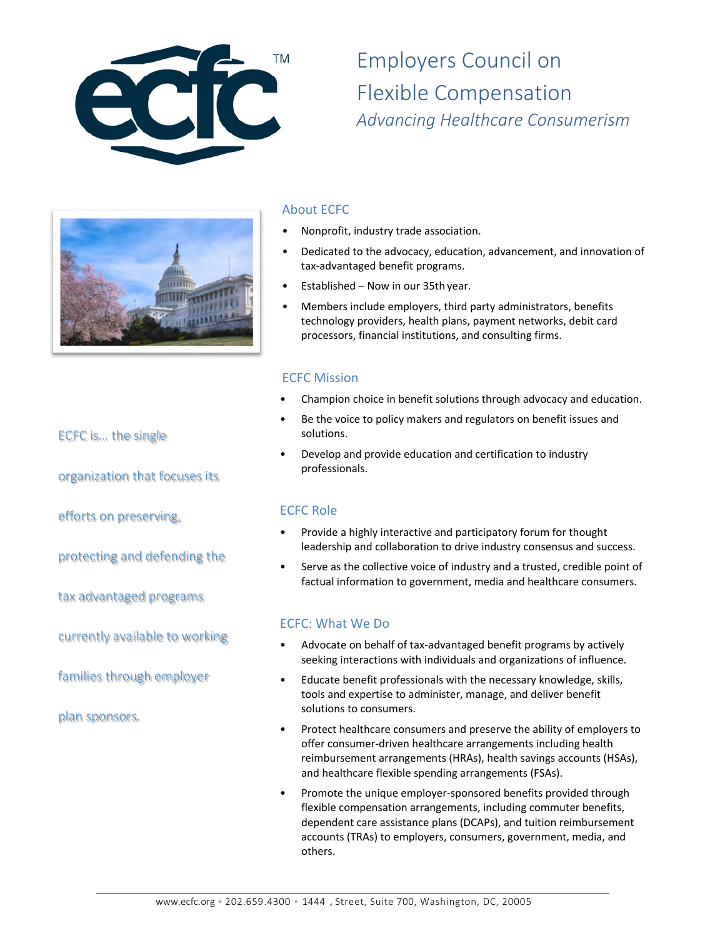

Employers Council on Flexible Compensation *Advancing Healthcare Consumerism* 



# About ECFC

- Nonprofit, industry trade association.
- Dedicated to the advocacy, education, advancement, and innovation of tax‐advantaged benefit programs.
- Established Now in our 35th year.
- Members include employers, third party administrators, benefits technology providers, health plans, payment networks, debit card processors, financial institutions, and consulting firms.

# ECFC Mission

- Champion choice in benefit solutions through advocacy and education.
- Be the voice to policy makers and regulators on benefit issues and solutions.
- Develop and provide education and certification to industry professionals.

#### ECFC Role

- Provide a highly interactive and participatory forum for thought leadership and collaboration to drive industry consensus and success.
- Serve as the collective voice of industry and a trusted, credible point of factual information to government, media and healthcare consumers.

#### ECFC: What We Do

- Advocate on behalf of tax‐advantaged benefit programs by actively seeking interactions with individuals and organizations of influence.
- Educate benefit professionals with the necessary knowledge, skills, tools and expertise to administer, manage, and deliver benefit solutions to consumers.
- Protect healthcare consumers and preserve the ability of employers to offer consumer‐driven healthcare arrangements including health reimbursement arrangements (HRAs), health savings accounts (HSAs), and healthcare flexible spending arrangements (FSAs).
- Promote the unique employer‐sponsored benefits provided through flexible compensation arrangements, including commuter benefits, dependent care assistance plans (DCAPs), and tuition reimbursement accounts (TRAs) to employers, consumers, government, media, and others.

ECFC is… the single

organization that focuses its

efforts on preserving,

protecting and defending the

tax advantaged programs

currently available to working

families through employer

plan sponsors.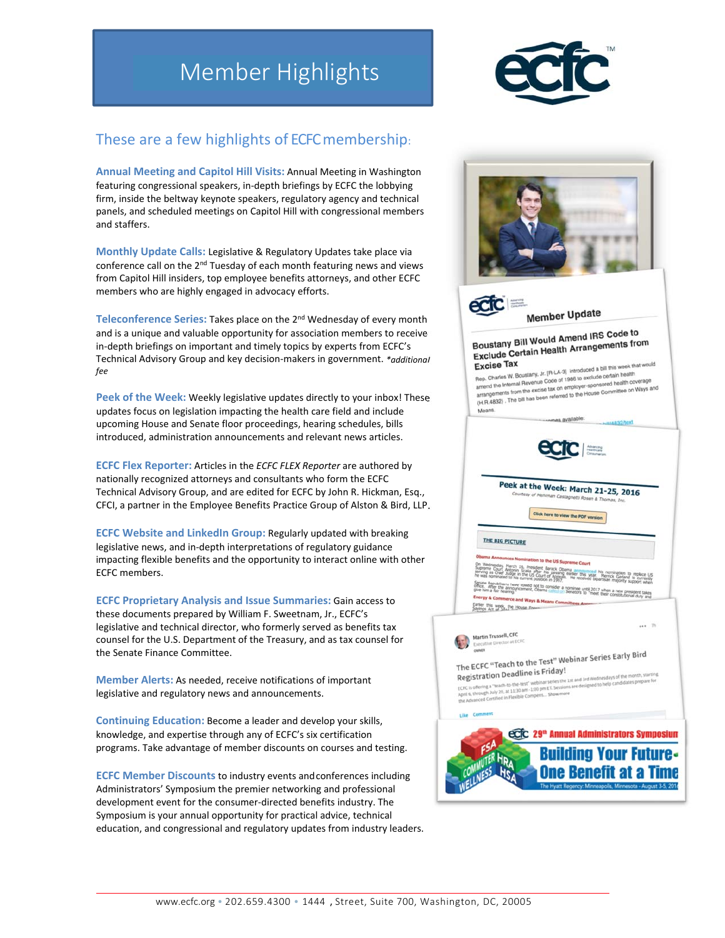# Member Highlights



# These are a few highlights of ECFC membership:

**Annual Meeting and Capitol Hill Visits:** Annual Meeting in Washington featuring congressional speakers, in‐depth briefings by ECFC the lobbying firm, inside the beltway keynote speakers, regulatory agency and technical panels, and scheduled meetings on Capitol Hill with congressional members and staffers.

**Monthly Update Calls:** Legislative & Regulatory Updates take place via conference call on the 2<sup>nd</sup> Tuesday of each month featuring news and views from Capitol Hill insiders, top employee benefits attorneys, and other ECFC members who are highly engaged in advocacy efforts.

**Teleconference Series:** Takes place on the 2nd Wednesday of every month and is a unique and valuable opportunity for association members to receive in‐depth briefings on important and timely topics by experts from ECFC's Technical Advisory Group and key decision‐makers in government. *\*additional fee*

**Peek of the Week:** Weekly legislative updates directly to your inbox! These updates focus on legislation impacting the health care field and include upcoming House and Senate floor proceedings, hearing schedules, bills introduced, administration announcements and relevant news articles.

**ECFC Flex Reporter:** Articles in the *ECFC FLEX Reporter* are authored by nationally recognized attorneys and consultants who form the ECFC Technical Advisory Group, and are edited for ECFC by John R. Hickman, Esq., CFCI, a partner in the Employee Benefits Practice Group of Alston & Bird, LLP.

**ECFC Website and LinkedIn Group:** Regularly updated with breaking legislative news, and in‐depth interpretations of regulatory guidance impacting flexible benefits and the opportunity to interact online with other ECFC members.

**ECFC Proprietary Analysis and Issue Summaries:** Gain access to these documents prepared by William F. Sweetnam, Jr., ECFC's legislative and technical director, who formerly served as benefits tax counsel for the U.S. Department of the Treasury, and as tax counsel for the Senate Finance Committee.

**Member Alerts:** As needed, receive notifications of important legislative and regulatory news and announcements.

**Continuing Education:** Become a leader and develop your skills, knowledge, and expertise through any of ECFC's six certification programs. Take advantage of member discounts on courses and testing.

**ECFC Member Discounts** to industry events and conferences including Administrators' Symposium the premier networking and professional development event for the consumer‐directed benefits industry. The Symposium is your annual opportunity for practical advice, technical education, and congressional and regulatory updates from industry leaders.